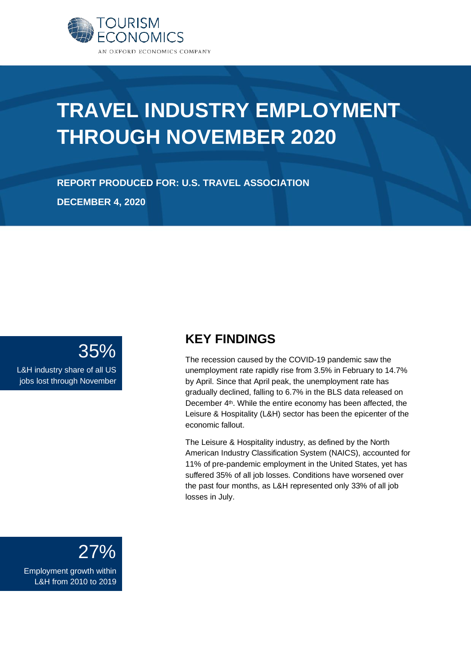

# **TRAVEL INDUSTRY EMPLOYMENT THROUGH NOVEMBER 2020**

**REPORT PRODUCED FOR: U.S. TRAVEL ASSOCIATION DECEMBER 4, 2020**

### 35%

L&H industry share of all US jobs lost through November

### **KEY FINDINGS**

The recession caused by the COVID-19 pandemic saw the unemployment rate rapidly rise from 3.5% in February to 14.7% by April. Since that April peak, the unemployment rate has gradually declined, falling to 6.7% in the BLS data released on December 4th. While the entire economy has been affected, the Leisure & Hospitality (L&H) sector has been the epicenter of the economic fallout.

The Leisure & Hospitality industry, as defined by the North American Industry Classification System (NAICS), accounted for 11% of pre-pandemic employment in the United States, yet has suffered 35% of all job losses. Conditions have worsened over the past four months, as L&H represented only 33% of all job losses in July.



Employment growth within L&H from 2010 to 2019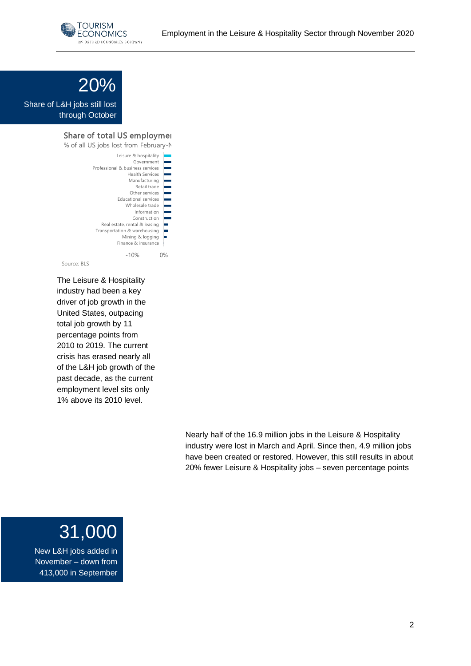



Share of L&H jobs still lost through October

### Share of total US employment

| % of all US jobs lost from February-N                                                                                                                |       |
|------------------------------------------------------------------------------------------------------------------------------------------------------|-------|
| Leisure & hospitality<br>Government<br>Professional & business services<br><b>Health Services</b><br>Manufacturing<br>Retail trade<br>Other services |       |
| <b>Educational services</b><br>Wholesale trade<br>Information<br>Construction<br>Real estate, rental & leasing<br>Transportation & warehousing       |       |
| Mining & logging<br>Finance & insurance<br>$-10%$                                                                                                    | $0\%$ |
| Source: BLS                                                                                                                                          |       |

The Leisure & Hospitality industry had been a key driver of job growth in the United States, outpacing total job growth by 11 percentage points from 2010 to 2019. The current crisis has erased nearly all of the L&H job growth of the past decade, as the current employment level sits only 1% above its 2010 level.

> Nearly half of the 16.9 million jobs in the Leisure & Hospitality industry were lost in March and April. Since then, 4.9 million jobs have been created or restored. However, this still results in about 20% fewer Leisure & Hospitality jobs – seven percentage points

## 31,000

New L&H jobs added in November – down from 413,000 in September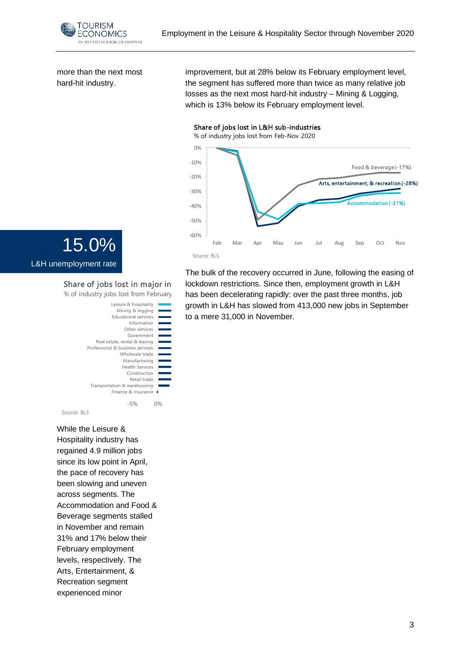

more than the next most hard-hit industry.

improvement, but at 28% below its February employment level, the segment has suffered more than twice as many relative job losses as the next most hard-hit industry – Mining & Logging, which is 13% below its February employment level.

### Share of jobs lost in L&H sub-industries



The bulk of the recovery occurred in June, following the easing of lockdown restrictions. Since then, employment growth in L&H has been decelerating rapidly: over the past three months, job growth in L&H has slowed from 413,000 new jobs in September to a mere 31,000 in November.



#### Share of jobs lost in major in % of industry jobs lost from February

```
-5% 0% 5% 10% 15% 20% 25%
                     Finance & insurance
            Transportation & warehousing
                             Retail trade
                            Construction
                          Health Services
                          Manufacturing
                         Wholesale trade
           Professional & business services
               Real estate, rental & leasing
                            Government
                           Other services
                             Information
                      Educational services
                        Mining & logging
                     Leisure & hospitality
Source: BLS
```
While the Leisure & Hospitality industry has regained 4.9 million jobs since its low point in April, the pace of recovery has been slowing and uneven across segments. The Accommodation and Food & Beverage segments stalled in November and remain 31% and 17% below their February employment levels, respectively. The Arts, Entertainment, & Recreation segment experienced minor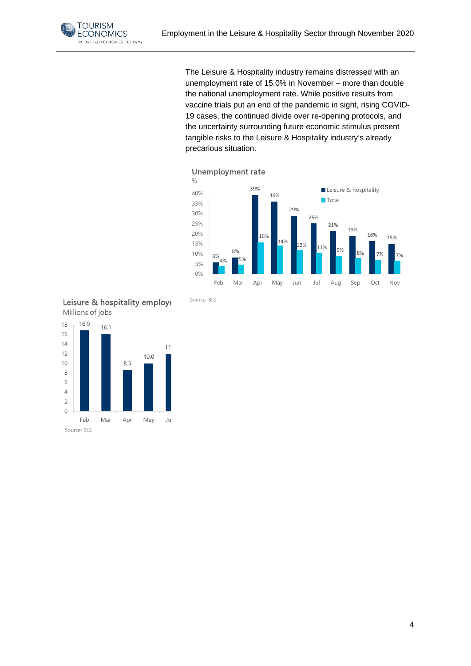

The Leisure & Hospitality industry remains distressed with an unemployment rate of 15.0% in November – more than double the national unemployment rate. While positive results from vaccine trials put an end of the pandemic in sight, rising COVID-19 cases, the continued divide over re-opening protocols, and the uncertainty surrounding future economic stimulus present tangible risks to the Leisure & Hospitality industry's already precarious situation.



### Unemployment rate



Source: BLS